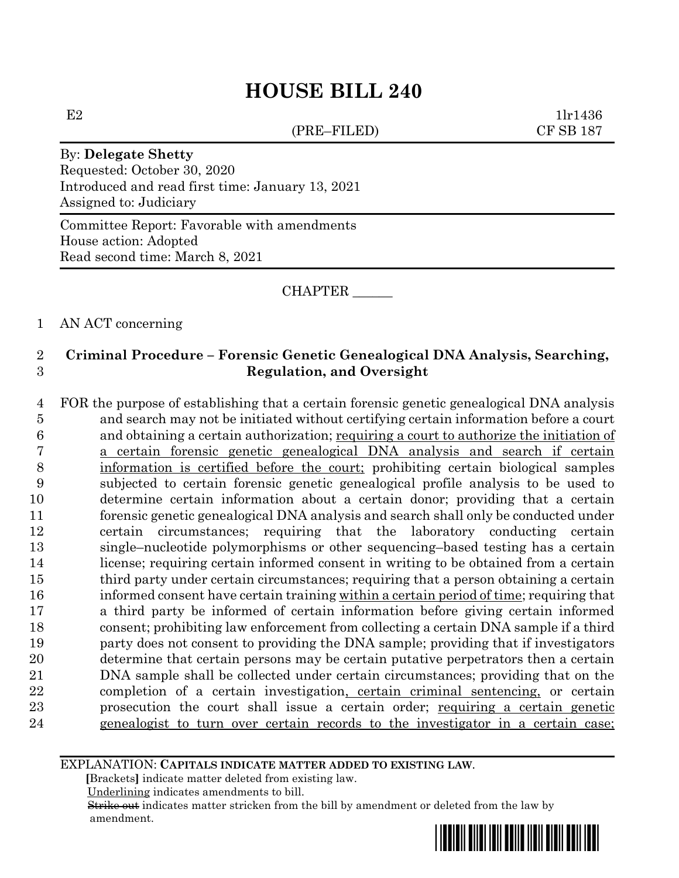# **HOUSE BILL 240**

(PRE–FILED) CF SB 187

 $E2$  1lr1436

## By: **Delegate Shetty**

Requested: October 30, 2020 Introduced and read first time: January 13, 2021 Assigned to: Judiciary

Committee Report: Favorable with amendments House action: Adopted Read second time: March 8, 2021

CHAPTER \_\_\_\_\_\_

## 1 AN ACT concerning

## 2 **Criminal Procedure – Forensic Genetic Genealogical DNA Analysis, Searching,**  3 **Regulation, and Oversight**

 FOR the purpose of establishing that a certain forensic genetic genealogical DNA analysis and search may not be initiated without certifying certain information before a court and obtaining a certain authorization; requiring a court to authorize the initiation of a certain forensic genetic genealogical DNA analysis and search if certain information is certified before the court; prohibiting certain biological samples subjected to certain forensic genetic genealogical profile analysis to be used to determine certain information about a certain donor; providing that a certain forensic genetic genealogical DNA analysis and search shall only be conducted under certain circumstances; requiring that the laboratory conducting certain single–nucleotide polymorphisms or other sequencing–based testing has a certain license; requiring certain informed consent in writing to be obtained from a certain 15 third party under certain circumstances; requiring that a person obtaining a certain informed consent have certain training within a certain period of time; requiring that a third party be informed of certain information before giving certain informed consent; prohibiting law enforcement from collecting a certain DNA sample if a third party does not consent to providing the DNA sample; providing that if investigators determine that certain persons may be certain putative perpetrators then a certain DNA sample shall be collected under certain circumstances; providing that on the completion of a certain investigation, certain criminal sentencing, or certain prosecution the court shall issue a certain order; requiring a certain genetic genealogist to turn over certain records to the investigator in a certain case;

#### EXPLANATION: **CAPITALS INDICATE MATTER ADDED TO EXISTING LAW**.

 **[**Brackets**]** indicate matter deleted from existing law.

Underlining indicates amendments to bill.

 Strike out indicates matter stricken from the bill by amendment or deleted from the law by amendment.

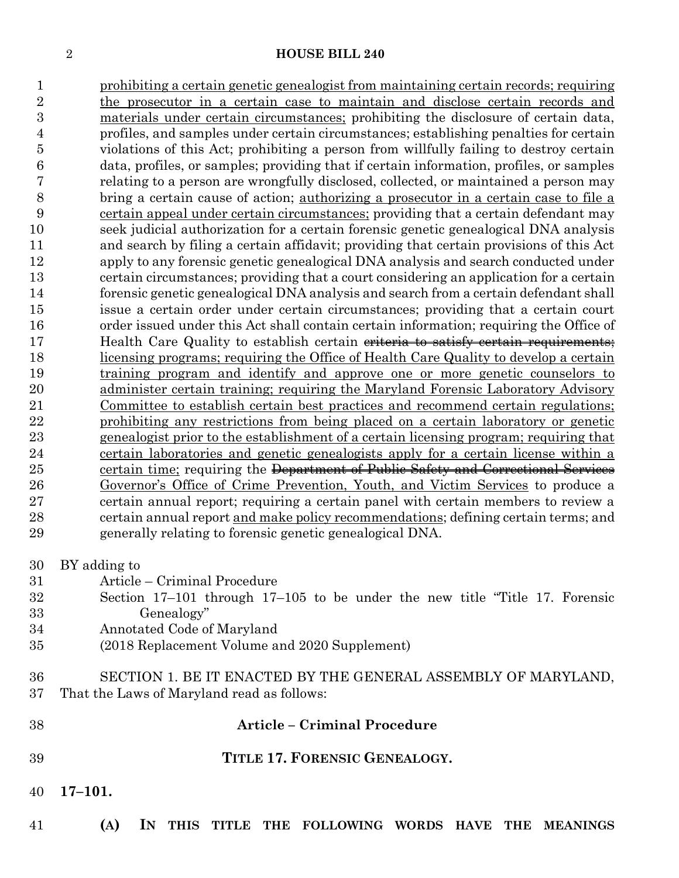# **HOUSE BILL 240**

| 1              | prohibiting a certain genetic genealogist from maintaining certain records; requiring                                       |
|----------------|-----------------------------------------------------------------------------------------------------------------------------|
| $\overline{2}$ | the prosecutor in a certain case to maintain and disclose certain records and                                               |
| $\overline{3}$ | materials under certain circumstances; prohibiting the disclosure of certain data,                                          |
| 4              | profiles, and samples under certain circumstances; establishing penalties for certain                                       |
| 5              | violations of this Act; prohibiting a person from willfully failing to destroy certain                                      |
| 6              | data, profiles, or samples; providing that if certain information, profiles, or samples                                     |
| 7              | relating to a person are wrongfully disclosed, collected, or maintained a person may                                        |
| 8              | bring a certain cause of action; authorizing a prosecutor in a certain case to file a                                       |
| 9              | certain appeal under certain circumstances; providing that a certain defendant may                                          |
| 10             | seek judicial authorization for a certain forensic genetic genealogical DNA analysis                                        |
| 11             | and search by filing a certain affidavit; providing that certain provisions of this Act                                     |
| 12             | apply to any forensic genetic genealogical DNA analysis and search conducted under                                          |
| 13             | certain circumstances; providing that a court considering an application for a certain                                      |
| 14             | forensic genetic genealogical DNA analysis and search from a certain defendant shall                                        |
| 15             | issue a certain order under certain circumstances; providing that a certain court                                           |
| 16             | order issued under this Act shall contain certain information; requiring the Office of                                      |
| 17             | Health Care Quality to establish certain eriteria to satisfy certain requirements;                                          |
| 18             | licensing programs; requiring the Office of Health Care Quality to develop a certain                                        |
| 19             | training program and identify and approve one or more genetic counselors to                                                 |
| 20             | administer certain training; requiring the Maryland Forensic Laboratory Advisory                                            |
| 21             | Committee to establish certain best practices and recommend certain regulations;                                            |
| 22             | prohibiting any restrictions from being placed on a certain laboratory or genetic                                           |
| $^{23}$        | genealogist prior to the establishment of a certain licensing program; requiring that                                       |
| 24             | certain laboratories and genetic genealogists apply for a certain license within a                                          |
| 25             | certain time; requiring the Department of Public Safety and Correctional Services                                           |
| 26             | Governor's Office of Crime Prevention, Youth, and Victim Services to produce a                                              |
| $27\,$         | certain annual report; requiring a certain panel with certain members to review a                                           |
| 28             | certain annual report and make policy recommendations; defining certain terms; and                                          |
| 29             | generally relating to forensic genetic genealogical DNA.                                                                    |
| 30             | BY adding to                                                                                                                |
| 31             | Article - Criminal Procedure                                                                                                |
| $32\,$         | Section $17-101$ through $17-105$ to be under the new title "Title 17. Forensic                                             |
| $33\,$         | Genealogy"                                                                                                                  |
| 34             | Annotated Code of Maryland                                                                                                  |
| 35             | (2018 Replacement Volume and 2020 Supplement)                                                                               |
|                |                                                                                                                             |
| 36             | SECTION 1. BE IT ENACTED BY THE GENERAL ASSEMBLY OF MARYLAND,                                                               |
| 37             | That the Laws of Maryland read as follows:                                                                                  |
| 38             | <b>Article - Criminal Procedure</b>                                                                                         |
|                |                                                                                                                             |
| 39             | TITLE 17. FORENSIC GENEALOGY.                                                                                               |
| 40             | $17 - 101.$                                                                                                                 |
| 41             | (A)<br>$\mathbf{I}$ N<br><b>THIS</b><br>THE FOLLOWING WORDS<br><b>TITLE</b><br><b>HAVE</b><br><b>THE</b><br><b>MEANINGS</b> |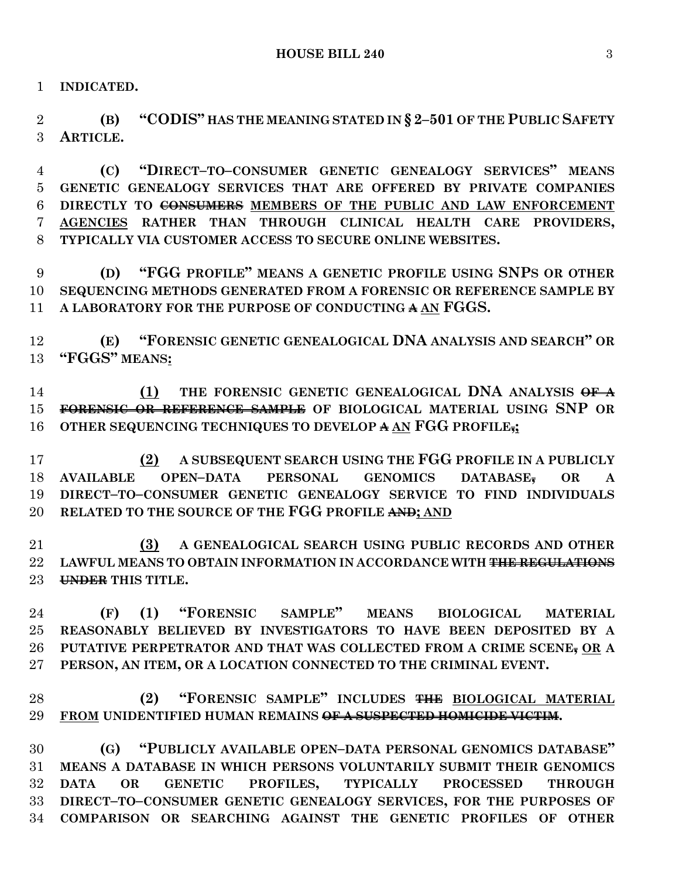**INDICATED.**

 **(B) "CODIS" HAS THE MEANING STATED IN § 2–501 OF THE PUBLIC SAFETY ARTICLE.**

 **(C) "DIRECT–TO–CONSUMER GENETIC GENEALOGY SERVICES" MEANS GENETIC GENEALOGY SERVICES THAT ARE OFFERED BY PRIVATE COMPANIES DIRECTLY TO CONSUMERS MEMBERS OF THE PUBLIC AND LAW ENFORCEMENT AGENCIES RATHER THAN THROUGH CLINICAL HEALTH CARE PROVIDERS, TYPICALLY VIA CUSTOMER ACCESS TO SECURE ONLINE WEBSITES.**

 **(D) "FGG PROFILE" MEANS A GENETIC PROFILE USING SNPS OR OTHER SEQUENCING METHODS GENERATED FROM A FORENSIC OR REFERENCE SAMPLE BY A LABORATORY FOR THE PURPOSE OF CONDUCTING A AN FGGS.**

 **(E) "FORENSIC GENETIC GENEALOGICAL DNA ANALYSIS AND SEARCH" OR "FGGS" MEANS:**

 **(1) THE FORENSIC GENETIC GENEALOGICAL DNA ANALYSIS OF A FORENSIC OR REFERENCE SAMPLE OF BIOLOGICAL MATERIAL USING SNP OR OTHER SEQUENCING TECHNIQUES TO DEVELOP A AN FGG PROFILE,;**

 **(2) A SUBSEQUENT SEARCH USING THE FGG PROFILE IN A PUBLICLY AVAILABLE OPEN–DATA PERSONAL GENOMICS DATABASE, OR A DIRECT–TO–CONSUMER GENETIC GENEALOGY SERVICE TO FIND INDIVIDUALS RELATED TO THE SOURCE OF THE FGG PROFILE AND; AND**

 **(3) A GENEALOGICAL SEARCH USING PUBLIC RECORDS AND OTHER LAWFUL MEANS TO OBTAIN INFORMATION IN ACCORDANCE WITH THE REGULATIONS UNDER THIS TITLE.**

 **(F) (1) "FORENSIC SAMPLE" MEANS BIOLOGICAL MATERIAL REASONABLY BELIEVED BY INVESTIGATORS TO HAVE BEEN DEPOSITED BY A PUTATIVE PERPETRATOR AND THAT WAS COLLECTED FROM A CRIME SCENE, OR A PERSON, AN ITEM, OR A LOCATION CONNECTED TO THE CRIMINAL EVENT.**

 **(2) "FORENSIC SAMPLE" INCLUDES THE BIOLOGICAL MATERIAL FROM UNIDENTIFIED HUMAN REMAINS OF A SUSPECTED HOMICIDE VICTIM.**

 **(G) "PUBLICLY AVAILABLE OPEN–DATA PERSONAL GENOMICS DATABASE" MEANS A DATABASE IN WHICH PERSONS VOLUNTARILY SUBMIT THEIR GENOMICS DATA OR GENETIC PROFILES, TYPICALLY PROCESSED THROUGH DIRECT–TO–CONSUMER GENETIC GENEALOGY SERVICES, FOR THE PURPOSES OF COMPARISON OR SEARCHING AGAINST THE GENETIC PROFILES OF OTHER**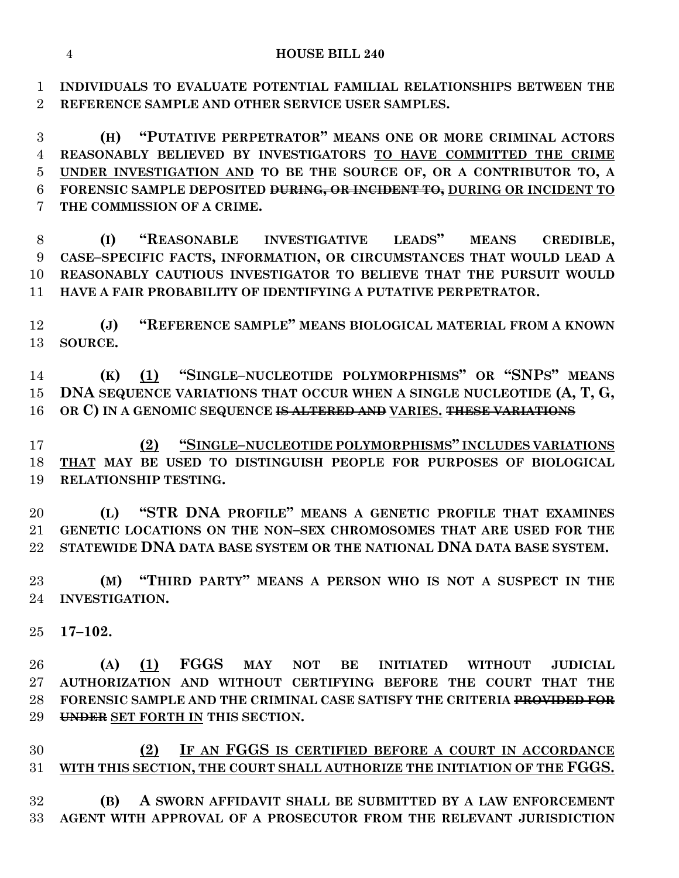**INDIVIDUALS TO EVALUATE POTENTIAL FAMILIAL RELATIONSHIPS BETWEEN THE REFERENCE SAMPLE AND OTHER SERVICE USER SAMPLES.**

 **(H) "PUTATIVE PERPETRATOR" MEANS ONE OR MORE CRIMINAL ACTORS REASONABLY BELIEVED BY INVESTIGATORS TO HAVE COMMITTED THE CRIME UNDER INVESTIGATION AND TO BE THE SOURCE OF, OR A CONTRIBUTOR TO, A FORENSIC SAMPLE DEPOSITED DURING, OR INCIDENT TO, DURING OR INCIDENT TO THE COMMISSION OF A CRIME.**

 **(I) "REASONABLE INVESTIGATIVE LEADS" MEANS CREDIBLE, CASE–SPECIFIC FACTS, INFORMATION, OR CIRCUMSTANCES THAT WOULD LEAD A REASONABLY CAUTIOUS INVESTIGATOR TO BELIEVE THAT THE PURSUIT WOULD HAVE A FAIR PROBABILITY OF IDENTIFYING A PUTATIVE PERPETRATOR.**

 **(J) "REFERENCE SAMPLE" MEANS BIOLOGICAL MATERIAL FROM A KNOWN SOURCE.**

 **(K) (1) "SINGLE–NUCLEOTIDE POLYMORPHISMS" OR "SNPS" MEANS DNA SEQUENCE VARIATIONS THAT OCCUR WHEN A SINGLE NUCLEOTIDE (A, T, G, OR C) IN A GENOMIC SEQUENCE IS ALTERED AND VARIES. THESE VARIATIONS**

 **(2) "SINGLE–NUCLEOTIDE POLYMORPHISMS" INCLUDES VARIATIONS THAT MAY BE USED TO DISTINGUISH PEOPLE FOR PURPOSES OF BIOLOGICAL RELATIONSHIP TESTING.**

 **(L) "STR DNA PROFILE" MEANS A GENETIC PROFILE THAT EXAMINES GENETIC LOCATIONS ON THE NON–SEX CHROMOSOMES THAT ARE USED FOR THE STATEWIDE DNA DATA BASE SYSTEM OR THE NATIONAL DNA DATA BASE SYSTEM.**

 **(M) "THIRD PARTY" MEANS A PERSON WHO IS NOT A SUSPECT IN THE INVESTIGATION.**

**17–102.**

 **(A) (1) FGGS MAY NOT BE INITIATED WITHOUT JUDICIAL AUTHORIZATION AND WITHOUT CERTIFYING BEFORE THE COURT THAT THE FORENSIC SAMPLE AND THE CRIMINAL CASE SATISFY THE CRITERIA PROVIDED FOR UNDER SET FORTH IN THIS SECTION.**

 **(2) IF AN FGGS IS CERTIFIED BEFORE A COURT IN ACCORDANCE WITH THIS SECTION, THE COURT SHALL AUTHORIZE THE INITIATION OF THE FGGS.**

 **(B) A SWORN AFFIDAVIT SHALL BE SUBMITTED BY A LAW ENFORCEMENT AGENT WITH APPROVAL OF A PROSECUTOR FROM THE RELEVANT JURISDICTION**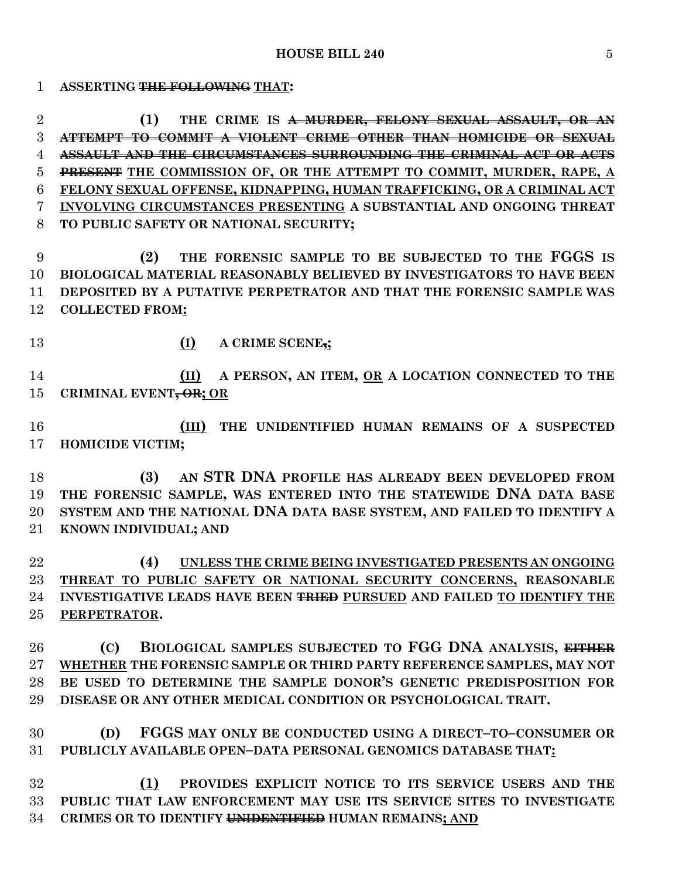**ASSERTING THE FOLLOWING THAT:**

 **(1) THE CRIME IS A MURDER, FELONY SEXUAL ASSAULT, OR AN ATTEMPT TO COMMIT A VIOLENT CRIME OTHER THAN HOMICIDE OR SEXUAL ASSAULT AND THE CIRCUMSTANCES SURROUNDING THE CRIMINAL ACT OR ACTS PRESENT THE COMMISSION OF, OR THE ATTEMPT TO COMMIT, MURDER, RAPE, A FELONY SEXUAL OFFENSE, KIDNAPPING, HUMAN TRAFFICKING, OR A CRIMINAL ACT INVOLVING CIRCUMSTANCES PRESENTING A SUBSTANTIAL AND ONGOING THREAT TO PUBLIC SAFETY OR NATIONAL SECURITY;**

 **(2) THE FORENSIC SAMPLE TO BE SUBJECTED TO THE FGGS IS BIOLOGICAL MATERIAL REASONABLY BELIEVED BY INVESTIGATORS TO HAVE BEEN DEPOSITED BY A PUTATIVE PERPETRATOR AND THAT THE FORENSIC SAMPLE WAS COLLECTED FROM:**

**(I) A CRIME SCENE,;**

 **(II) A PERSON, AN ITEM, OR A LOCATION CONNECTED TO THE CRIMINAL EVENT, OR; OR**

 **(III) THE UNIDENTIFIED HUMAN REMAINS OF A SUSPECTED HOMICIDE VICTIM;**

 **(3) AN STR DNA PROFILE HAS ALREADY BEEN DEVELOPED FROM THE FORENSIC SAMPLE, WAS ENTERED INTO THE STATEWIDE DNA DATA BASE SYSTEM AND THE NATIONAL DNA DATA BASE SYSTEM, AND FAILED TO IDENTIFY A KNOWN INDIVIDUAL; AND**

 **(4) UNLESS THE CRIME BEING INVESTIGATED PRESENTS AN ONGOING THREAT TO PUBLIC SAFETY OR NATIONAL SECURITY CONCERNS, REASONABLE INVESTIGATIVE LEADS HAVE BEEN TRIED PURSUED AND FAILED TO IDENTIFY THE PERPETRATOR.**

 **(C) BIOLOGICAL SAMPLES SUBJECTED TO FGG DNA ANALYSIS, EITHER WHETHER THE FORENSIC SAMPLE OR THIRD PARTY REFERENCE SAMPLES, MAY NOT BE USED TO DETERMINE THE SAMPLE DONOR'S GENETIC PREDISPOSITION FOR DISEASE OR ANY OTHER MEDICAL CONDITION OR PSYCHOLOGICAL TRAIT.**

 **(D) FGGS MAY ONLY BE CONDUCTED USING A DIRECT–TO–CONSUMER OR PUBLICLY AVAILABLE OPEN–DATA PERSONAL GENOMICS DATABASE THAT:**

 **(1) PROVIDES EXPLICIT NOTICE TO ITS SERVICE USERS AND THE PUBLIC THAT LAW ENFORCEMENT MAY USE ITS SERVICE SITES TO INVESTIGATE CRIMES OR TO IDENTIFY UNIDENTIFIED HUMAN REMAINS; AND**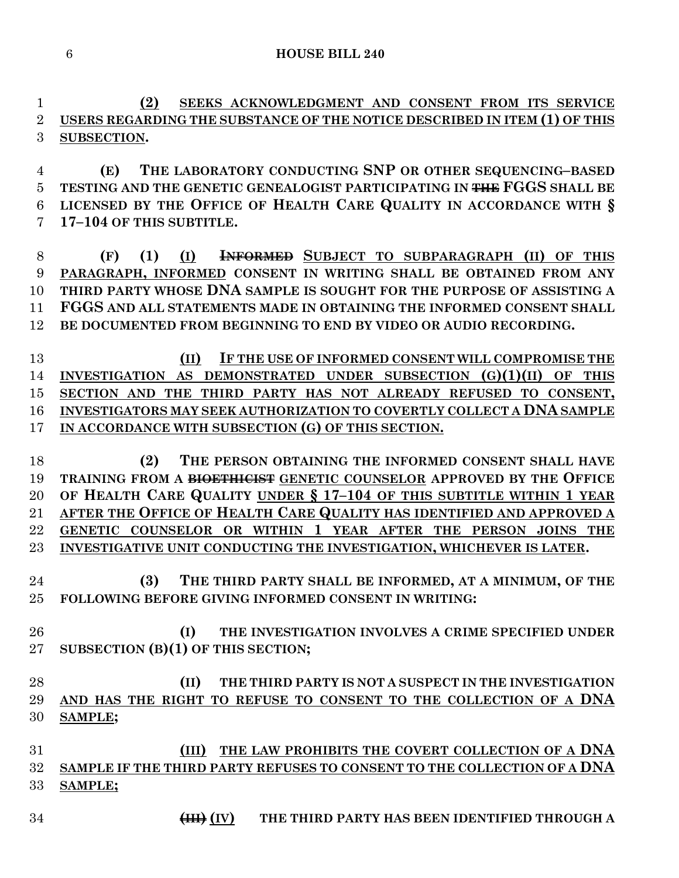**(2) SEEKS ACKNOWLEDGMENT AND CONSENT FROM ITS SERVICE USERS REGARDING THE SUBSTANCE OF THE NOTICE DESCRIBED IN ITEM (1) OF THIS SUBSECTION.**

 **(E) THE LABORATORY CONDUCTING SNP OR OTHER SEQUENCING–BASED TESTING AND THE GENETIC GENEALOGIST PARTICIPATING IN THE FGGS SHALL BE LICENSED BY THE OFFICE OF HEALTH CARE QUALITY IN ACCORDANCE WITH § 17–104 OF THIS SUBTITLE.**

 **(F) (1) (I) INFORMED SUBJECT TO SUBPARAGRAPH (II) OF THIS PARAGRAPH, INFORMED CONSENT IN WRITING SHALL BE OBTAINED FROM ANY THIRD PARTY WHOSE DNA SAMPLE IS SOUGHT FOR THE PURPOSE OF ASSISTING A FGGS AND ALL STATEMENTS MADE IN OBTAINING THE INFORMED CONSENT SHALL BE DOCUMENTED FROM BEGINNING TO END BY VIDEO OR AUDIO RECORDING.**

 **(II) IF THE USE OF INFORMED CONSENT WILL COMPROMISE THE INVESTIGATION AS DEMONSTRATED UNDER SUBSECTION (G)(1)(II) OF THIS SECTION AND THE THIRD PARTY HAS NOT ALREADY REFUSED TO CONSENT, INVESTIGATORS MAY SEEK AUTHORIZATION TO COVERTLY COLLECT A DNA SAMPLE IN ACCORDANCE WITH SUBSECTION (G) OF THIS SECTION.**

 **(2) THE PERSON OBTAINING THE INFORMED CONSENT SHALL HAVE TRAINING FROM A BIOETHICIST GENETIC COUNSELOR APPROVED BY THE OFFICE OF HEALTH CARE QUALITY UNDER § 17–104 OF THIS SUBTITLE WITHIN 1 YEAR AFTER THE OFFICE OF HEALTH CARE QUALITY HAS IDENTIFIED AND APPROVED A GENETIC COUNSELOR OR WITHIN 1 YEAR AFTER THE PERSON JOINS THE INVESTIGATIVE UNIT CONDUCTING THE INVESTIGATION, WHICHEVER IS LATER.**

 **(3) THE THIRD PARTY SHALL BE INFORMED, AT A MINIMUM, OF THE FOLLOWING BEFORE GIVING INFORMED CONSENT IN WRITING:**

 **(I) THE INVESTIGATION INVOLVES A CRIME SPECIFIED UNDER SUBSECTION (B)(1) OF THIS SECTION;**

 **(II) THE THIRD PARTY IS NOT A SUSPECT IN THE INVESTIGATION AND HAS THE RIGHT TO REFUSE TO CONSENT TO THE COLLECTION OF A DNA SAMPLE;**

 **(III) THE LAW PROHIBITS THE COVERT COLLECTION OF A DNA SAMPLE IF THE THIRD PARTY REFUSES TO CONSENT TO THE COLLECTION OF A DNA SAMPLE;**

**(III) (IV) THE THIRD PARTY HAS BEEN IDENTIFIED THROUGH A**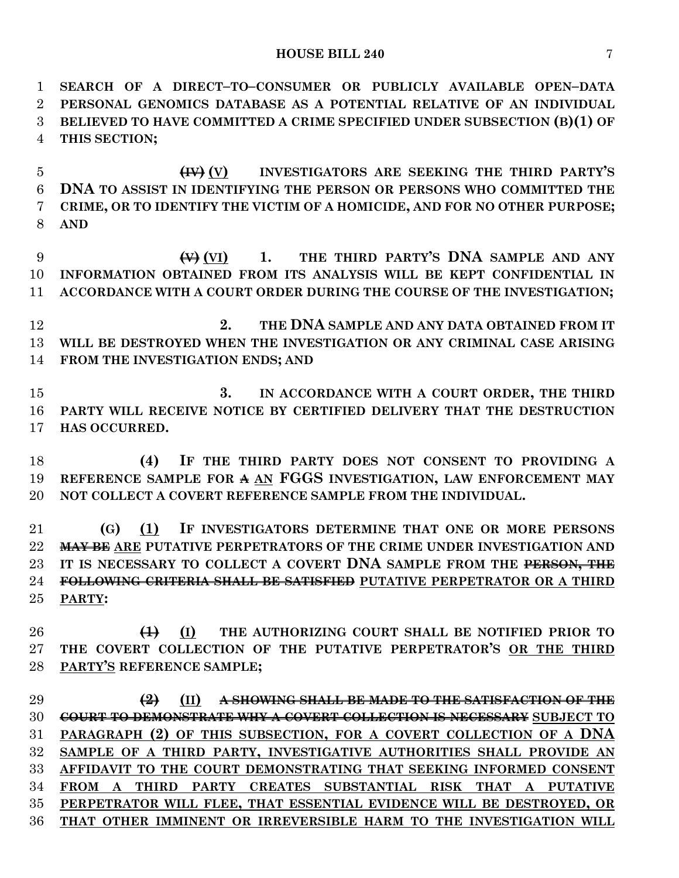**SEARCH OF A DIRECT–TO–CONSUMER OR PUBLICLY AVAILABLE OPEN–DATA PERSONAL GENOMICS DATABASE AS A POTENTIAL RELATIVE OF AN INDIVIDUAL BELIEVED TO HAVE COMMITTED A CRIME SPECIFIED UNDER SUBSECTION (B)(1) OF THIS SECTION;**

 **(IV) (V) INVESTIGATORS ARE SEEKING THE THIRD PARTY'S DNA TO ASSIST IN IDENTIFYING THE PERSON OR PERSONS WHO COMMITTED THE CRIME, OR TO IDENTIFY THE VICTIM OF A HOMICIDE, AND FOR NO OTHER PURPOSE; AND**

 **(V) (VI) 1. THE THIRD PARTY'S DNA SAMPLE AND ANY INFORMATION OBTAINED FROM ITS ANALYSIS WILL BE KEPT CONFIDENTIAL IN ACCORDANCE WITH A COURT ORDER DURING THE COURSE OF THE INVESTIGATION;**

 **2. THE DNA SAMPLE AND ANY DATA OBTAINED FROM IT WILL BE DESTROYED WHEN THE INVESTIGATION OR ANY CRIMINAL CASE ARISING FROM THE INVESTIGATION ENDS; AND** 

 **3. IN ACCORDANCE WITH A COURT ORDER, THE THIRD PARTY WILL RECEIVE NOTICE BY CERTIFIED DELIVERY THAT THE DESTRUCTION HAS OCCURRED.**

 **(4) IF THE THIRD PARTY DOES NOT CONSENT TO PROVIDING A REFERENCE SAMPLE FOR A AN FGGS INVESTIGATION, LAW ENFORCEMENT MAY NOT COLLECT A COVERT REFERENCE SAMPLE FROM THE INDIVIDUAL.**

 **(G) (1) IF INVESTIGATORS DETERMINE THAT ONE OR MORE PERSONS MAY BE ARE PUTATIVE PERPETRATORS OF THE CRIME UNDER INVESTIGATION AND IT IS NECESSARY TO COLLECT A COVERT DNA SAMPLE FROM THE PERSON, THE FOLLOWING CRITERIA SHALL BE SATISFIED PUTATIVE PERPETRATOR OR A THIRD PARTY:**

 **(1) (I) THE AUTHORIZING COURT SHALL BE NOTIFIED PRIOR TO THE COVERT COLLECTION OF THE PUTATIVE PERPETRATOR'S OR THE THIRD PARTY'S REFERENCE SAMPLE;**

 **(2) (II) A SHOWING SHALL BE MADE TO THE SATISFACTION OF THE COURT TO DEMONSTRATE WHY A COVERT COLLECTION IS NECESSARY SUBJECT TO PARAGRAPH (2) OF THIS SUBSECTION, FOR A COVERT COLLECTION OF A DNA SAMPLE OF A THIRD PARTY, INVESTIGATIVE AUTHORITIES SHALL PROVIDE AN AFFIDAVIT TO THE COURT DEMONSTRATING THAT SEEKING INFORMED CONSENT FROM A THIRD PARTY CREATES SUBSTANTIAL RISK THAT A PUTATIVE PERPETRATOR WILL FLEE, THAT ESSENTIAL EVIDENCE WILL BE DESTROYED, OR THAT OTHER IMMINENT OR IRREVERSIBLE HARM TO THE INVESTIGATION WILL**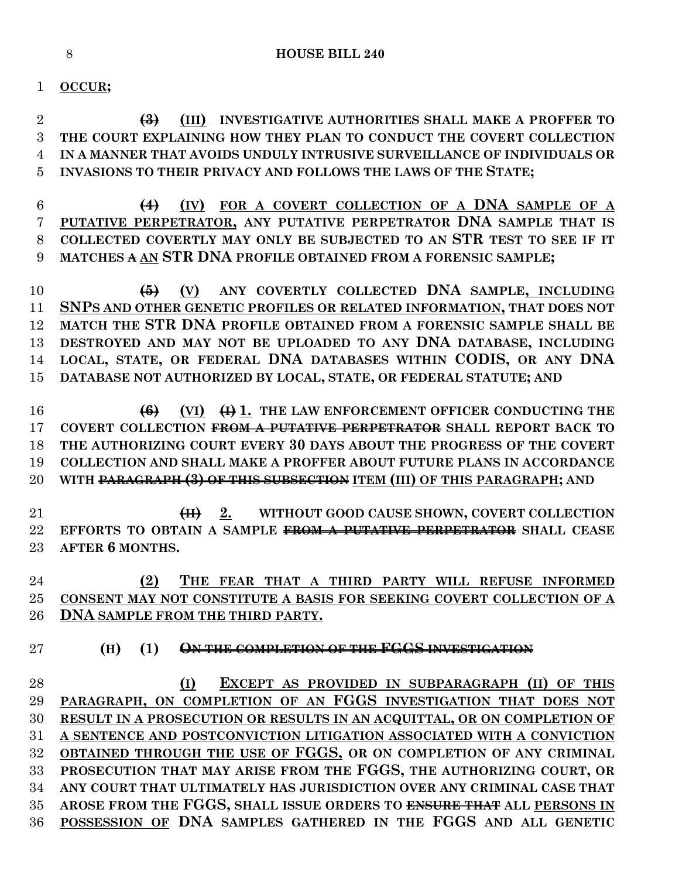### **OCCUR;**

 **(3) (III) INVESTIGATIVE AUTHORITIES SHALL MAKE A PROFFER TO THE COURT EXPLAINING HOW THEY PLAN TO CONDUCT THE COVERT COLLECTION IN A MANNER THAT AVOIDS UNDULY INTRUSIVE SURVEILLANCE OF INDIVIDUALS OR INVASIONS TO THEIR PRIVACY AND FOLLOWS THE LAWS OF THE STATE;**

 **(4) (IV) FOR A COVERT COLLECTION OF A DNA SAMPLE OF A PUTATIVE PERPETRATOR, ANY PUTATIVE PERPETRATOR DNA SAMPLE THAT IS COLLECTED COVERTLY MAY ONLY BE SUBJECTED TO AN STR TEST TO SEE IF IT MATCHES A AN STR DNA PROFILE OBTAINED FROM A FORENSIC SAMPLE;**

 **(5) (V) ANY COVERTLY COLLECTED DNA SAMPLE, INCLUDING SNPS AND OTHER GENETIC PROFILES OR RELATED INFORMATION, THAT DOES NOT MATCH THE STR DNA PROFILE OBTAINED FROM A FORENSIC SAMPLE SHALL BE DESTROYED AND MAY NOT BE UPLOADED TO ANY DNA DATABASE, INCLUDING LOCAL, STATE, OR FEDERAL DNA DATABASES WITHIN CODIS, OR ANY DNA DATABASE NOT AUTHORIZED BY LOCAL, STATE, OR FEDERAL STATUTE; AND**

 **(6) (VI) (I) 1. THE LAW ENFORCEMENT OFFICER CONDUCTING THE COVERT COLLECTION FROM A PUTATIVE PERPETRATOR SHALL REPORT BACK TO THE AUTHORIZING COURT EVERY 30 DAYS ABOUT THE PROGRESS OF THE COVERT COLLECTION AND SHALL MAKE A PROFFER ABOUT FUTURE PLANS IN ACCORDANCE WITH PARAGRAPH (3) OF THIS SUBSECTION ITEM (III) OF THIS PARAGRAPH; AND** 

 **(II) 2. WITHOUT GOOD CAUSE SHOWN, COVERT COLLECTION EFFORTS TO OBTAIN A SAMPLE FROM A PUTATIVE PERPETRATOR SHALL CEASE AFTER 6 MONTHS.**

 **(2) THE FEAR THAT A THIRD PARTY WILL REFUSE INFORMED CONSENT MAY NOT CONSTITUTE A BASIS FOR SEEKING COVERT COLLECTION OF A DNA SAMPLE FROM THE THIRD PARTY.**

**(H) (1) ON THE COMPLETION OF THE FGGS INVESTIGATION**

 **(I) EXCEPT AS PROVIDED IN SUBPARAGRAPH (II) OF THIS PARAGRAPH, ON COMPLETION OF AN FGGS INVESTIGATION THAT DOES NOT RESULT IN A PROSECUTION OR RESULTS IN AN ACQUITTAL, OR ON COMPLETION OF A SENTENCE AND POSTCONVICTION LITIGATION ASSOCIATED WITH A CONVICTION OBTAINED THROUGH THE USE OF FGGS, OR ON COMPLETION OF ANY CRIMINAL PROSECUTION THAT MAY ARISE FROM THE FGGS, THE AUTHORIZING COURT, OR ANY COURT THAT ULTIMATELY HAS JURISDICTION OVER ANY CRIMINAL CASE THAT AROSE FROM THE FGGS, SHALL ISSUE ORDERS TO ENSURE THAT ALL PERSONS IN POSSESSION OF DNA SAMPLES GATHERED IN THE FGGS AND ALL GENETIC**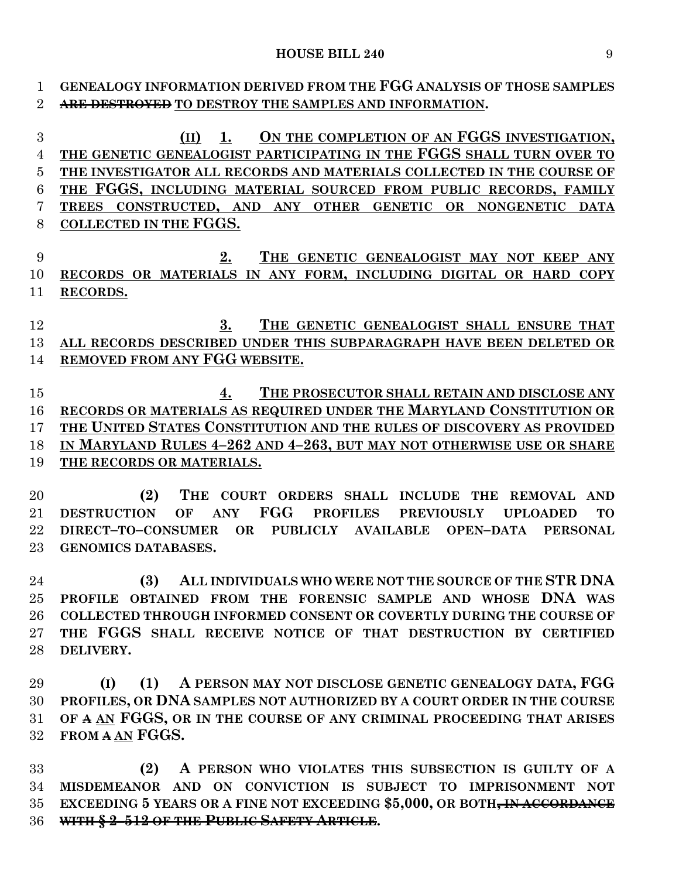#### **HOUSE BILL 240** 9

**GENEALOGY INFORMATION DERIVED FROM THE FGG ANALYSIS OF THOSE SAMPLES** 

 **(II) 1. ON THE COMPLETION OF AN FGGS INVESTIGATION, THE GENETIC GENEALOGIST PARTICIPATING IN THE FGGS SHALL TURN OVER TO THE INVESTIGATOR ALL RECORDS AND MATERIALS COLLECTED IN THE COURSE OF THE FGGS, INCLUDING MATERIAL SOURCED FROM PUBLIC RECORDS, FAMILY TREES CONSTRUCTED, AND ANY OTHER GENETIC OR NONGENETIC DATA**

**ARE DESTROYED TO DESTROY THE SAMPLES AND INFORMATION.**

| 8      | COLLECTED IN THE FGGS.                                                                                                |
|--------|-----------------------------------------------------------------------------------------------------------------------|
| 9      | 2.<br>THE GENETIC GENEALOGIST MAY NOT KEEP ANY                                                                        |
| 10     | RECORDS OR MATERIALS IN ANY FORM, INCLUDING DIGITAL OR HARD COPY                                                      |
| 11     | RECORDS.                                                                                                              |
|        |                                                                                                                       |
| 12     | 3.<br>THE GENETIC GENEALOGIST SHALL ENSURE THAT                                                                       |
| 13     | ALL RECORDS DESCRIBED UNDER THIS SUBPARAGRAPH HAVE BEEN DELETED OR                                                    |
| 14     | REMOVED FROM ANY FGG WEBSITE.                                                                                         |
|        |                                                                                                                       |
| 15     | THE PROSECUTOR SHALL RETAIN AND DISCLOSE ANY<br>4.                                                                    |
| 16     | RECORDS OR MATERIALS AS REQUIRED UNDER THE MARYLAND CONSTITUTION OR                                                   |
| 17     | THE UNITED STATES CONSTITUTION AND THE RULES OF DISCOVERY AS PROVIDED                                                 |
| 18     | IN MARYLAND RULES 4-262 AND 4-263, BUT MAY NOT OTHERWISE USE OR SHARE                                                 |
| 19     | THE RECORDS OR MATERIALS.                                                                                             |
|        |                                                                                                                       |
| 20     | THE COURT ORDERS SHALL INCLUDE THE REMOVAL AND<br>(2)                                                                 |
| 21     | FGG<br><b>ANY</b><br><b>PROFILES</b><br><b>DESTRUCTION</b><br>OF<br><b>PREVIOUSLY</b><br><b>UPLOADED</b><br><b>TO</b> |
| 22     | OR PUBLICLY AVAILABLE OPEN-DATA PERSONAL<br>DIRECT-TO-CONSUMER                                                        |
| 23     | <b>GENOMICS DATABASES.</b>                                                                                            |
|        |                                                                                                                       |
| 24     | ALL INDIVIDUALS WHO WERE NOT THE SOURCE OF THE STR DNA<br>(3)                                                         |
| 25     | PROFILE OBTAINED FROM THE FORENSIC SAMPLE AND WHOSE DNA WAS                                                           |
| 26     | <b>COLLECTED THROUGH INFORMED CONSENT OR COVERTLY DURING THE COURSE OF</b>                                            |
| $27\,$ | THE FGGS SHALL RECEIVE NOTICE OF THAT DESTRUCTION BY CERTIFIED                                                        |
| 28     | DELIVERY.                                                                                                             |
|        |                                                                                                                       |
| 29     | A PERSON MAY NOT DISCLOSE GENETIC GENEALOGY DATA, FGG<br>(I)<br>(1)                                                   |
| 30     | PROFILES, OR DNA SAMPLES NOT AUTHORIZED BY A COURT ORDER IN THE COURSE                                                |
|        | 31 OF A AN FGGS, OR IN THE COURSE OF ANY CRIMINAL PROCEEDING THAT ARISES                                              |
| $32\,$ | FROM A AN FGGS.                                                                                                       |
| 33     | A PERSON WHO VIOLATES THIS SUBSECTION IS GUILTY OF A<br>(2)                                                           |
| 34     | MISDEMEANOR AND ON CONVICTION IS SUBJECT TO IMPRISONMENT NOT                                                          |
| $35\,$ | EXCEEDING 5 YEARS OR A FINE NOT EXCEEDING \$5,000, OR BOTH <del>, IN ACCORDANCE</del>                                 |
| 36     | WITH § 2-512 OF THE PUBLIC SAFETY ARTICLE.                                                                            |
|        |                                                                                                                       |
|        |                                                                                                                       |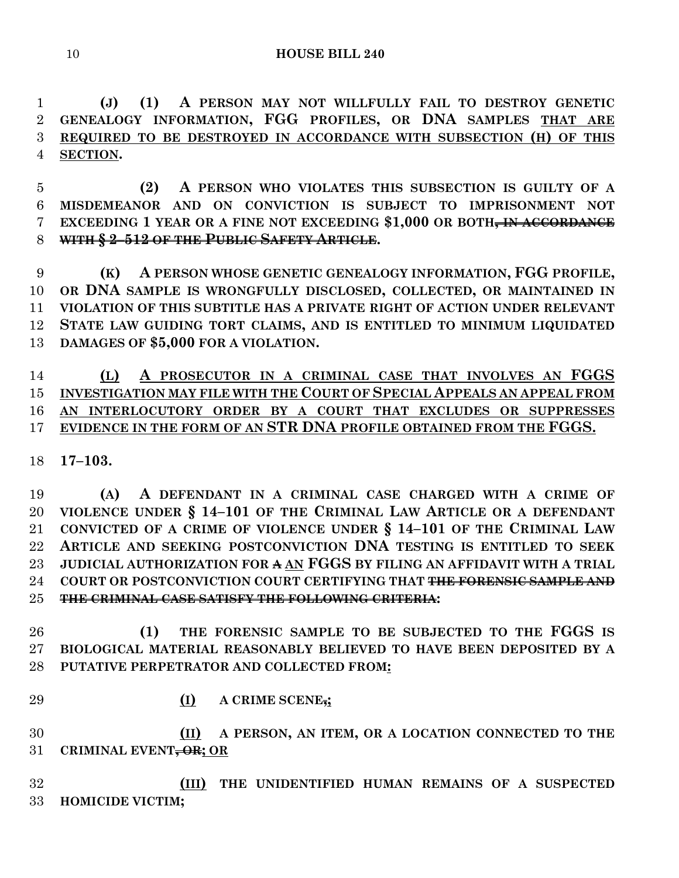**(J) (1) A PERSON MAY NOT WILLFULLY FAIL TO DESTROY GENETIC GENEALOGY INFORMATION, FGG PROFILES, OR DNA SAMPLES THAT ARE REQUIRED TO BE DESTROYED IN ACCORDANCE WITH SUBSECTION (H) OF THIS SECTION.**

 **(2) A PERSON WHO VIOLATES THIS SUBSECTION IS GUILTY OF A MISDEMEANOR AND ON CONVICTION IS SUBJECT TO IMPRISONMENT NOT EXCEEDING 1 YEAR OR A FINE NOT EXCEEDING \$1,000 OR BOTH, IN ACCORDANCE WITH § 2–512 OF THE PUBLIC SAFETY ARTICLE.**

 **(K) A PERSON WHOSE GENETIC GENEALOGY INFORMATION, FGG PROFILE, OR DNA SAMPLE IS WRONGFULLY DISCLOSED, COLLECTED, OR MAINTAINED IN VIOLATION OF THIS SUBTITLE HAS A PRIVATE RIGHT OF ACTION UNDER RELEVANT STATE LAW GUIDING TORT CLAIMS, AND IS ENTITLED TO MINIMUM LIQUIDATED DAMAGES OF \$5,000 FOR A VIOLATION.**

 **(L) A PROSECUTOR IN A CRIMINAL CASE THAT INVOLVES AN FGGS INVESTIGATION MAY FILE WITH THE COURT OF SPECIAL APPEALS AN APPEAL FROM AN INTERLOCUTORY ORDER BY A COURT THAT EXCLUDES OR SUPPRESSES EVIDENCE IN THE FORM OF AN STR DNA PROFILE OBTAINED FROM THE FGGS.**

**17–103.**

 **(A) A DEFENDANT IN A CRIMINAL CASE CHARGED WITH A CRIME OF VIOLENCE UNDER § 14–101 OF THE CRIMINAL LAW ARTICLE OR A DEFENDANT CONVICTED OF A CRIME OF VIOLENCE UNDER § 14–101 OF THE CRIMINAL LAW ARTICLE AND SEEKING POSTCONVICTION DNA TESTING IS ENTITLED TO SEEK JUDICIAL AUTHORIZATION FOR A AN FGGS BY FILING AN AFFIDAVIT WITH A TRIAL COURT OR POSTCONVICTION COURT CERTIFYING THAT THE FORENSIC SAMPLE AND THE CRIMINAL CASE SATISFY THE FOLLOWING CRITERIA:**

 **(1) THE FORENSIC SAMPLE TO BE SUBJECTED TO THE FGGS IS BIOLOGICAL MATERIAL REASONABLY BELIEVED TO HAVE BEEN DEPOSITED BY A PUTATIVE PERPETRATOR AND COLLECTED FROM:**

- 
- **(I) A CRIME SCENE,;**

 **(II) A PERSON, AN ITEM, OR A LOCATION CONNECTED TO THE CRIMINAL EVENT, OR; OR**

 **(III) THE UNIDENTIFIED HUMAN REMAINS OF A SUSPECTED HOMICIDE VICTIM;**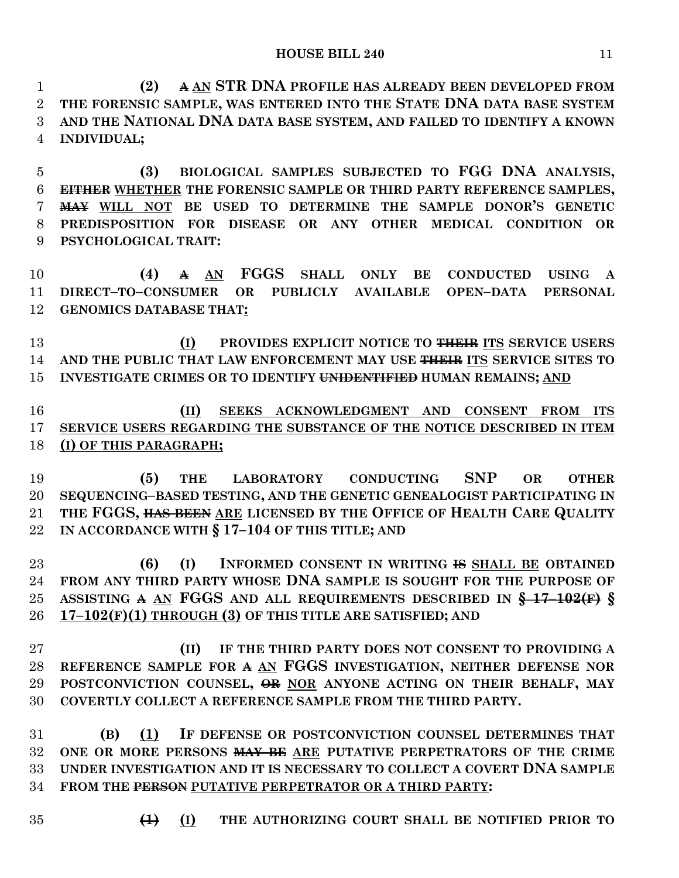**(2) A AN STR DNA PROFILE HAS ALREADY BEEN DEVELOPED FROM THE FORENSIC SAMPLE, WAS ENTERED INTO THE STATE DNA DATA BASE SYSTEM AND THE NATIONAL DNA DATA BASE SYSTEM, AND FAILED TO IDENTIFY A KNOWN INDIVIDUAL;**

 **(3) BIOLOGICAL SAMPLES SUBJECTED TO FGG DNA ANALYSIS, EITHER WHETHER THE FORENSIC SAMPLE OR THIRD PARTY REFERENCE SAMPLES, MAY WILL NOT BE USED TO DETERMINE THE SAMPLE DONOR'S GENETIC PREDISPOSITION FOR DISEASE OR ANY OTHER MEDICAL CONDITION OR PSYCHOLOGICAL TRAIT:**

 **(4) A AN FGGS SHALL ONLY BE CONDUCTED USING A DIRECT–TO–CONSUMER OR PUBLICLY AVAILABLE OPEN–DATA PERSONAL GENOMICS DATABASE THAT:**

 **(I) PROVIDES EXPLICIT NOTICE TO THEIR ITS SERVICE USERS AND THE PUBLIC THAT LAW ENFORCEMENT MAY USE THEIR ITS SERVICE SITES TO INVESTIGATE CRIMES OR TO IDENTIFY UNIDENTIFIED HUMAN REMAINS; AND**

 **(II) SEEKS ACKNOWLEDGMENT AND CONSENT FROM ITS SERVICE USERS REGARDING THE SUBSTANCE OF THE NOTICE DESCRIBED IN ITEM (I) OF THIS PARAGRAPH;**

 **(5) THE LABORATORY CONDUCTING SNP OR OTHER SEQUENCING–BASED TESTING, AND THE GENETIC GENEALOGIST PARTICIPATING IN THE FGGS, HAS BEEN ARE LICENSED BY THE OFFICE OF HEALTH CARE QUALITY IN ACCORDANCE WITH § 17–104 OF THIS TITLE; AND**

 **(6) (I) INFORMED CONSENT IN WRITING IS SHALL BE OBTAINED FROM ANY THIRD PARTY WHOSE DNA SAMPLE IS SOUGHT FOR THE PURPOSE OF ASSISTING A AN FGGS AND ALL REQUIREMENTS DESCRIBED IN § 17–102(F) § 17–102(F)(1) THROUGH (3) OF THIS TITLE ARE SATISFIED; AND** 

 **(II) IF THE THIRD PARTY DOES NOT CONSENT TO PROVIDING A REFERENCE SAMPLE FOR A AN FGGS INVESTIGATION, NEITHER DEFENSE NOR POSTCONVICTION COUNSEL, OR NOR ANYONE ACTING ON THEIR BEHALF, MAY COVERTLY COLLECT A REFERENCE SAMPLE FROM THE THIRD PARTY.**

 **(B) (1) IF DEFENSE OR POSTCONVICTION COUNSEL DETERMINES THAT ONE OR MORE PERSONS MAY BE ARE PUTATIVE PERPETRATORS OF THE CRIME UNDER INVESTIGATION AND IT IS NECESSARY TO COLLECT A COVERT DNA SAMPLE FROM THE PERSON PUTATIVE PERPETRATOR OR A THIRD PARTY:**

- 
- **(1) (I) THE AUTHORIZING COURT SHALL BE NOTIFIED PRIOR TO**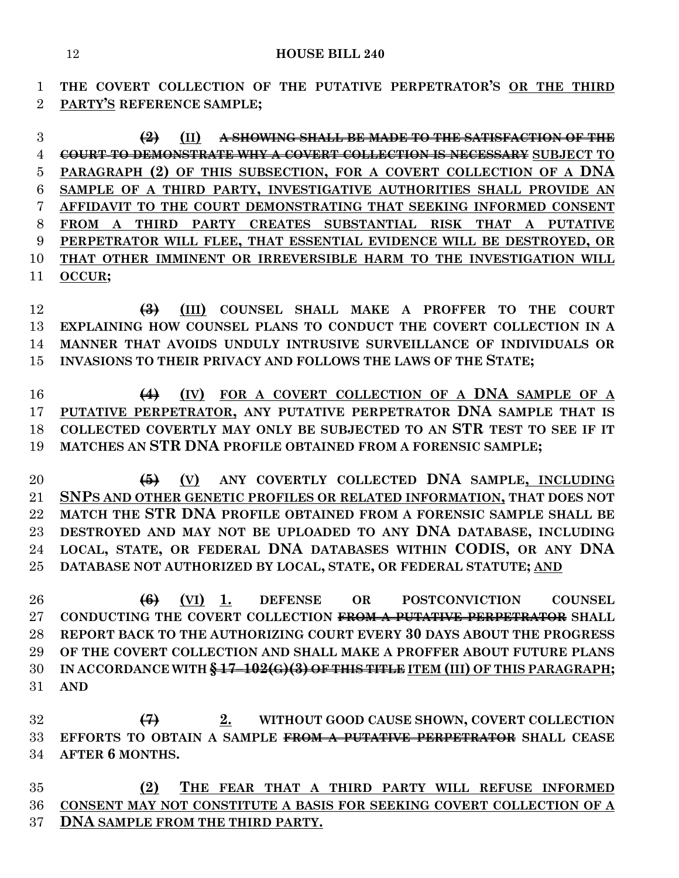**THE COVERT COLLECTION OF THE PUTATIVE PERPETRATOR'S OR THE THIRD PARTY'S REFERENCE SAMPLE;**

 **(2) (II) A SHOWING SHALL BE MADE TO THE SATISFACTION OF THE COURT TO DEMONSTRATE WHY A COVERT COLLECTION IS NECESSARY SUBJECT TO PARAGRAPH (2) OF THIS SUBSECTION, FOR A COVERT COLLECTION OF A DNA SAMPLE OF A THIRD PARTY, INVESTIGATIVE AUTHORITIES SHALL PROVIDE AN AFFIDAVIT TO THE COURT DEMONSTRATING THAT SEEKING INFORMED CONSENT FROM A THIRD PARTY CREATES SUBSTANTIAL RISK THAT A PUTATIVE PERPETRATOR WILL FLEE, THAT ESSENTIAL EVIDENCE WILL BE DESTROYED, OR THAT OTHER IMMINENT OR IRREVERSIBLE HARM TO THE INVESTIGATION WILL OCCUR;**

 **(3) (III) COUNSEL SHALL MAKE A PROFFER TO THE COURT EXPLAINING HOW COUNSEL PLANS TO CONDUCT THE COVERT COLLECTION IN A MANNER THAT AVOIDS UNDULY INTRUSIVE SURVEILLANCE OF INDIVIDUALS OR INVASIONS TO THEIR PRIVACY AND FOLLOWS THE LAWS OF THE STATE;**

 **(4) (IV) FOR A COVERT COLLECTION OF A DNA SAMPLE OF A PUTATIVE PERPETRATOR, ANY PUTATIVE PERPETRATOR DNA SAMPLE THAT IS COLLECTED COVERTLY MAY ONLY BE SUBJECTED TO AN STR TEST TO SEE IF IT MATCHES AN STR DNA PROFILE OBTAINED FROM A FORENSIC SAMPLE;**

 **(5) (V) ANY COVERTLY COLLECTED DNA SAMPLE, INCLUDING SNPS AND OTHER GENETIC PROFILES OR RELATED INFORMATION, THAT DOES NOT MATCH THE STR DNA PROFILE OBTAINED FROM A FORENSIC SAMPLE SHALL BE DESTROYED AND MAY NOT BE UPLOADED TO ANY DNA DATABASE, INCLUDING LOCAL, STATE, OR FEDERAL DNA DATABASES WITHIN CODIS, OR ANY DNA DATABASE NOT AUTHORIZED BY LOCAL, STATE, OR FEDERAL STATUTE; AND**

 **(6) (VI) 1. DEFENSE OR POSTCONVICTION COUNSEL CONDUCTING THE COVERT COLLECTION FROM A PUTATIVE PERPETRATOR SHALL REPORT BACK TO THE AUTHORIZING COURT EVERY 30 DAYS ABOUT THE PROGRESS OF THE COVERT COLLECTION AND SHALL MAKE A PROFFER ABOUT FUTURE PLANS IN ACCORDANCE WITH § 17–102(G)(3) OF THIS TITLE ITEM (III) OF THIS PARAGRAPH; AND**

 **(7) 2. WITHOUT GOOD CAUSE SHOWN, COVERT COLLECTION EFFORTS TO OBTAIN A SAMPLE FROM A PUTATIVE PERPETRATOR SHALL CEASE AFTER 6 MONTHS.**

 **(2) THE FEAR THAT A THIRD PARTY WILL REFUSE INFORMED CONSENT MAY NOT CONSTITUTE A BASIS FOR SEEKING COVERT COLLECTION OF A DNA SAMPLE FROM THE THIRD PARTY.**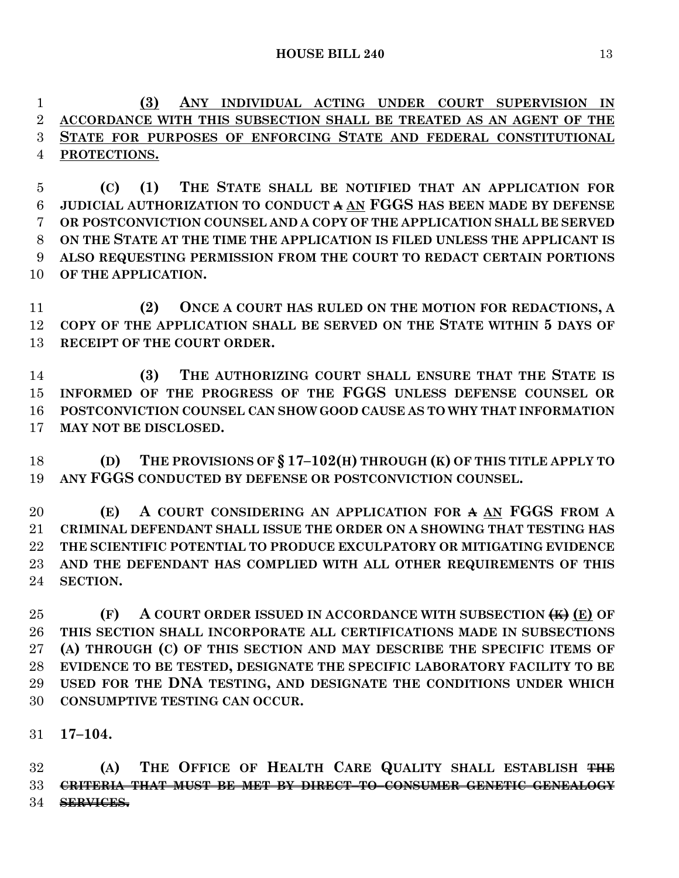**(3) ANY INDIVIDUAL ACTING UNDER COURT SUPERVISION IN ACCORDANCE WITH THIS SUBSECTION SHALL BE TREATED AS AN AGENT OF THE STATE FOR PURPOSES OF ENFORCING STATE AND FEDERAL CONSTITUTIONAL PROTECTIONS.**

 **(C) (1) THE STATE SHALL BE NOTIFIED THAT AN APPLICATION FOR JUDICIAL AUTHORIZATION TO CONDUCT A AN FGGS HAS BEEN MADE BY DEFENSE OR POSTCONVICTION COUNSEL AND A COPY OF THE APPLICATION SHALL BE SERVED ON THE STATE AT THE TIME THE APPLICATION IS FILED UNLESS THE APPLICANT IS ALSO REQUESTING PERMISSION FROM THE COURT TO REDACT CERTAIN PORTIONS OF THE APPLICATION.**

 **(2) ONCE A COURT HAS RULED ON THE MOTION FOR REDACTIONS, A COPY OF THE APPLICATION SHALL BE SERVED ON THE STATE WITHIN 5 DAYS OF RECEIPT OF THE COURT ORDER.**

 **(3) THE AUTHORIZING COURT SHALL ENSURE THAT THE STATE IS INFORMED OF THE PROGRESS OF THE FGGS UNLESS DEFENSE COUNSEL OR POSTCONVICTION COUNSEL CAN SHOW GOOD CAUSE AS TO WHY THAT INFORMATION MAY NOT BE DISCLOSED.**

 **(D) THE PROVISIONS OF § 17–102(H) THROUGH (K) OF THIS TITLE APPLY TO ANY FGGS CONDUCTED BY DEFENSE OR POSTCONVICTION COUNSEL.**

 **(E) A COURT CONSIDERING AN APPLICATION FOR A AN FGGS FROM A CRIMINAL DEFENDANT SHALL ISSUE THE ORDER ON A SHOWING THAT TESTING HAS THE SCIENTIFIC POTENTIAL TO PRODUCE EXCULPATORY OR MITIGATING EVIDENCE AND THE DEFENDANT HAS COMPLIED WITH ALL OTHER REQUIREMENTS OF THIS SECTION.**

 **(F) A COURT ORDER ISSUED IN ACCORDANCE WITH SUBSECTION (K) (E) OF THIS SECTION SHALL INCORPORATE ALL CERTIFICATIONS MADE IN SUBSECTIONS (A) THROUGH (C) OF THIS SECTION AND MAY DESCRIBE THE SPECIFIC ITEMS OF EVIDENCE TO BE TESTED, DESIGNATE THE SPECIFIC LABORATORY FACILITY TO BE USED FOR THE DNA TESTING, AND DESIGNATE THE CONDITIONS UNDER WHICH CONSUMPTIVE TESTING CAN OCCUR.**

**17–104.**

 **(A) THE OFFICE OF HEALTH CARE QUALITY SHALL ESTABLISH THE CRITERIA THAT MUST BE MET BY DIRECT–TO–CONSUMER GENETIC GENEALOGY SERVICES.**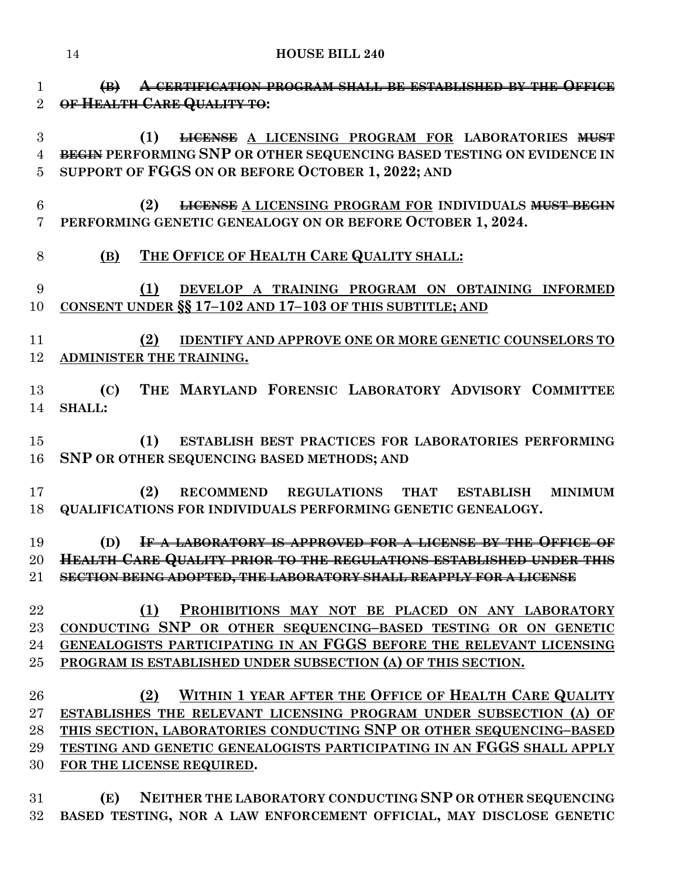**(B) A CERTIFICATION PROGRAM SHALL BE ESTABLISHED BY THE OFFICE OF HEALTH CARE QUALITY TO:**

 **(1) LICENSE A LICENSING PROGRAM FOR LABORATORIES MUST BEGIN PERFORMING SNP OR OTHER SEQUENCING BASED TESTING ON EVIDENCE IN SUPPORT OF FGGS ON OR BEFORE OCTOBER 1, 2022; AND**

 **(2) LICENSE A LICENSING PROGRAM FOR INDIVIDUALS MUST BEGIN PERFORMING GENETIC GENEALOGY ON OR BEFORE OCTOBER 1, 2024.**

# **(B) THE OFFICE OF HEALTH CARE QUALITY SHALL:**

 **(1) DEVELOP A TRAINING PROGRAM ON OBTAINING INFORMED CONSENT UNDER §§ 17–102 AND 17–103 OF THIS SUBTITLE; AND**

 **(2) IDENTIFY AND APPROVE ONE OR MORE GENETIC COUNSELORS TO ADMINISTER THE TRAINING.**

 **(C) THE MARYLAND FORENSIC LABORATORY ADVISORY COMMITTEE SHALL:**

 **(1) ESTABLISH BEST PRACTICES FOR LABORATORIES PERFORMING SNP OR OTHER SEQUENCING BASED METHODS; AND**

 **(2) RECOMMEND REGULATIONS THAT ESTABLISH MINIMUM QUALIFICATIONS FOR INDIVIDUALS PERFORMING GENETIC GENEALOGY.**

 **(D) IF A LABORATORY IS APPROVED FOR A LICENSE BY THE OFFICE OF HEALTH CARE QUALITY PRIOR TO THE REGULATIONS ESTABLISHED UNDER THIS SECTION BEING ADOPTED, THE LABORATORY SHALL REAPPLY FOR A LICENSE**

 **(1) PROHIBITIONS MAY NOT BE PLACED ON ANY LABORATORY CONDUCTING SNP OR OTHER SEQUENCING–BASED TESTING OR ON GENETIC GENEALOGISTS PARTICIPATING IN AN FGGS BEFORE THE RELEVANT LICENSING PROGRAM IS ESTABLISHED UNDER SUBSECTION (A) OF THIS SECTION.**

 **(2) WITHIN 1 YEAR AFTER THE OFFICE OF HEALTH CARE QUALITY ESTABLISHES THE RELEVANT LICENSING PROGRAM UNDER SUBSECTION (A) OF THIS SECTION, LABORATORIES CONDUCTING SNP OR OTHER SEQUENCING–BASED TESTING AND GENETIC GENEALOGISTS PARTICIPATING IN AN FGGS SHALL APPLY FOR THE LICENSE REQUIRED.**

 **(E) NEITHER THE LABORATORY CONDUCTING SNP OR OTHER SEQUENCING BASED TESTING, NOR A LAW ENFORCEMENT OFFICIAL, MAY DISCLOSE GENETIC**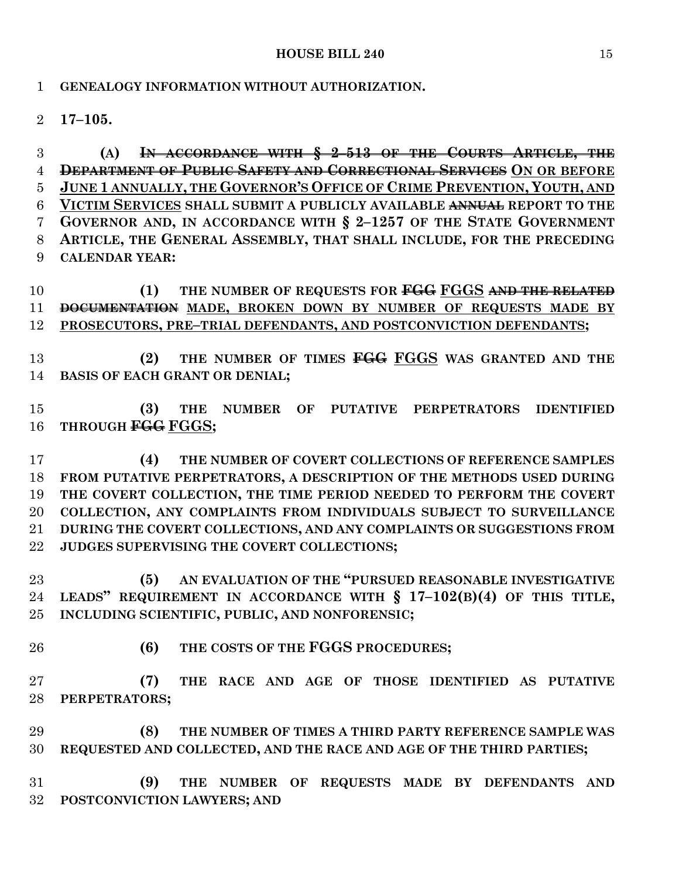#### **HOUSE BILL 240** 15

### **GENEALOGY INFORMATION WITHOUT AUTHORIZATION.**

**17–105.**

 **(A) IN ACCORDANCE WITH § 2–513 OF THE COURTS ARTICLE, THE DEPARTMENT OF PUBLIC SAFETY AND CORRECTIONAL SERVICES ON OR BEFORE JUNE 1 ANNUALLY, THE GOVERNOR'S OFFICE OF CRIME PREVENTION, YOUTH, AND VICTIM SERVICES SHALL SUBMIT A PUBLICLY AVAILABLE ANNUAL REPORT TO THE GOVERNOR AND, IN ACCORDANCE WITH § 2–1257 OF THE STATE GOVERNMENT ARTICLE, THE GENERAL ASSEMBLY, THAT SHALL INCLUDE, FOR THE PRECEDING CALENDAR YEAR:**

 **(1) THE NUMBER OF REQUESTS FOR FGG FGGS AND THE RELATED DOCUMENTATION MADE, BROKEN DOWN BY NUMBER OF REQUESTS MADE BY PROSECUTORS, PRE–TRIAL DEFENDANTS, AND POSTCONVICTION DEFENDANTS;**

 **(2) THE NUMBER OF TIMES FGG FGGS WAS GRANTED AND THE BASIS OF EACH GRANT OR DENIAL;**

 **(3) THE NUMBER OF PUTATIVE PERPETRATORS IDENTIFIED THROUGH FGG FGGS;**

 **(4) THE NUMBER OF COVERT COLLECTIONS OF REFERENCE SAMPLES FROM PUTATIVE PERPETRATORS, A DESCRIPTION OF THE METHODS USED DURING THE COVERT COLLECTION, THE TIME PERIOD NEEDED TO PERFORM THE COVERT COLLECTION, ANY COMPLAINTS FROM INDIVIDUALS SUBJECT TO SURVEILLANCE DURING THE COVERT COLLECTIONS, AND ANY COMPLAINTS OR SUGGESTIONS FROM JUDGES SUPERVISING THE COVERT COLLECTIONS;**

 **(5) AN EVALUATION OF THE "PURSUED REASONABLE INVESTIGATIVE LEADS" REQUIREMENT IN ACCORDANCE WITH § 17–102(B)(4) OF THIS TITLE, INCLUDING SCIENTIFIC, PUBLIC, AND NONFORENSIC;**

**(6) THE COSTS OF THE FGGS PROCEDURES;**

 **(7) THE RACE AND AGE OF THOSE IDENTIFIED AS PUTATIVE PERPETRATORS;**

 **(8) THE NUMBER OF TIMES A THIRD PARTY REFERENCE SAMPLE WAS REQUESTED AND COLLECTED, AND THE RACE AND AGE OF THE THIRD PARTIES;**

 **(9) THE NUMBER OF REQUESTS MADE BY DEFENDANTS AND POSTCONVICTION LAWYERS; AND**